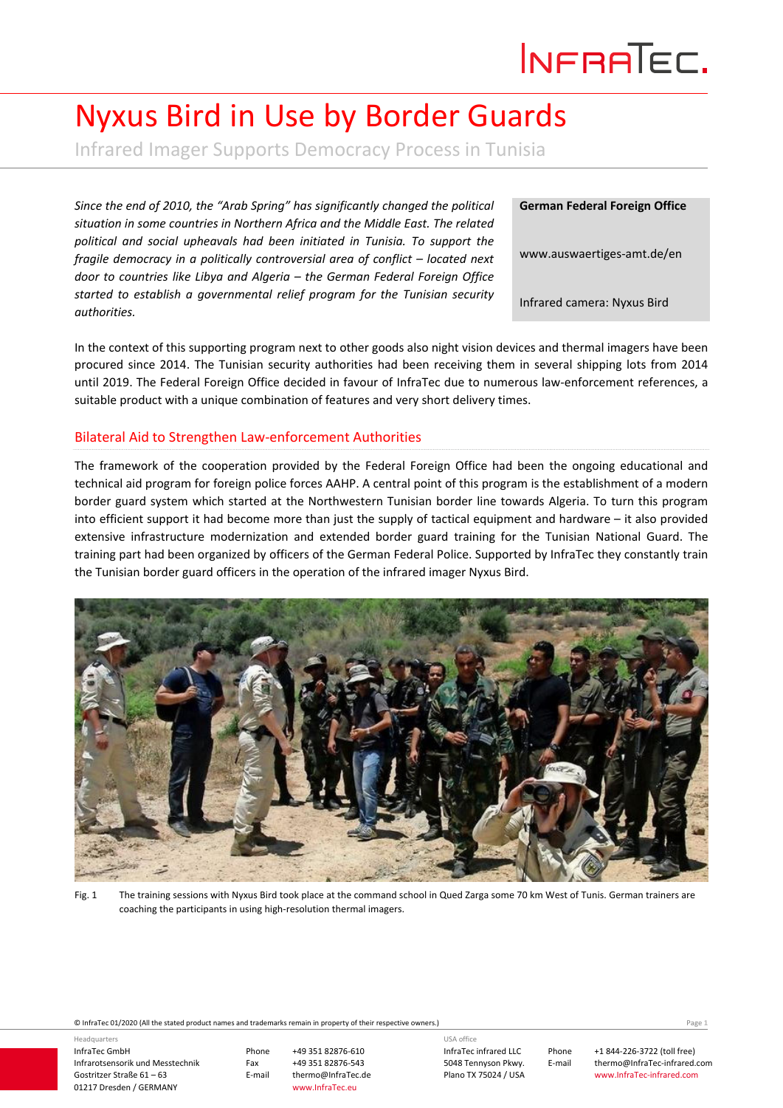# Nyxus Bird in Use by Border Guards

Infrared Imager Supports Democracy Process in Tunisia

*Since the end of 2010, the "Arab Spring" has significantly changed the political situation in some countries in Northern Africa and the Middle East. The related political and social upheavals had been initiated in Tunisia. To support the fragile democracy in a politically controversial area of conflict – located next door to countries like Libya and Algeria – the German Federal Foreign Office started to establish a governmental relief program for the Tunisian security authorities.*

**German Federal Foreign Office**

www.auswaertiges‐amt.de/en

Infrared camera: Nyxus Bird

In the context of this supporting program next to other goods also night vision devices and thermal imagers have been procured since 2014. The Tunisian security authorities had been receiving them in several shipping lots from 2014 until 2019. The Federal Foreign Office decided in favour of InfraTec due to numerous law‐enforcement references, a suitable product with a unique combination of features and very short delivery times.

#### Bilateral Aid to Strengthen Law‐enforcement Authorities

The framework of the cooperation provided by the Federal Foreign Office had been the ongoing educational and technical aid program for foreign police forces AAHP. A central point of this program is the establishment of a modern border guard system which started at the Northwestern Tunisian border line towards Algeria. To turn this program into efficient support it had become more than just the supply of tactical equipment and hardware – it also provided extensive infrastructure modernization and extended border guard training for the Tunisian National Guard. The training part had been organized by officers of the German Federal Police. Supported by InfraTec they constantly train the Tunisian border guard officers in the operation of the infrared imager Nyxus Bird.



Fig. 1 The training sessions with Nyxus Bird took place at the command school in Qued Zarga some 70 km West of Tunis. German trainers are coaching the participants in using high‐resolution thermal imagers.

© InfraTec 01/2020 (All the stated product names and trademarks remain in property of their respective owners.) Page **1**

InfraTec GmbH Infrarotsensorik und Messtechnik Gostritzer Straße 61 – 63 01217 Dresden / GERMANY Headquarters

Phone +49 351 82876‐610 Fax +49 351 82876-543<br>E-mail thermo@InfraTec.c thermo@InfraTec.de www.InfraTec.eu

InfraTec infrared LLC 5048 Tennyson Pkwy. Plano TX 75024 / USA USA office

Phone +1 844‐226‐3722 (toll free) E-mail thermo@InfraTec-infrared.com www.InfraTec‐infrared.com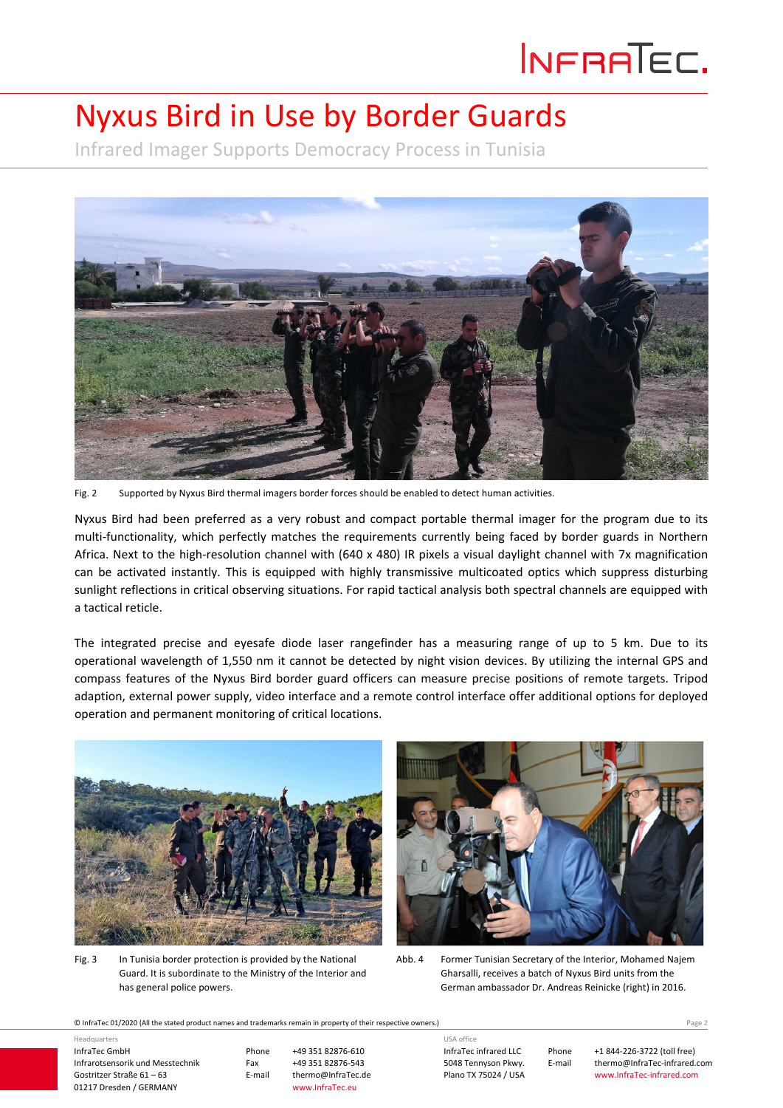# INFRATEC.

### Nyxus Bird in Use by Border Guards

Infrared Imager Supports Democracy Process in Tunisia



Fig. 2 Supported by Nyxus Bird thermal imagers border forces should be enabled to detect human activities.

Nyxus Bird had been preferred as a very robust and compact portable thermal imager for the program due to its multi-functionality, which perfectly matches the requirements currently being faced by border guards in Northern Africa. Next to the high-resolution channel with (640 x 480) IR pixels a visual daylight channel with 7x magnification can be activated instantly. This is equipped with highly transmissive multicoated optics which suppress disturbing sunlight reflections in critical observing situations. For rapid tactical analysis both spectral channels are equipped with a tactical reticle.

The integrated precise and eyesafe diode laser rangefinder has a measuring range of up to 5 km. Due to its operational wavelength of 1,550 nm it cannot be detected by night vision devices. By utilizing the internal GPS and compass features of the Nyxus Bird border guard officers can measure precise positions of remote targets. Tripod adaption, external power supply, video interface and a remote control interface offer additional options for deployed operation and permanent monitoring of critical locations.



Fig. 3 In Tunisia border protection is provided by the National Guard. It is subordinate to the Ministry of the Interior and has general police powers.



Abb. 4 Former Tunisian Secretary of the Interior, Mohamed Najem Gharsalli, receives a batch of Nyxus Bird units from the German ambassador Dr. Andreas Reinicke (right) in 2016.

© InfraTec 01/2020 (All the stated product names and trademarks remain in property of their respective owners.) Page **2**

| Headquarters                     |
|----------------------------------|
| InfraTec GmbH                    |
| Infrarotsensorik und Messtechnik |
| Gostritzer Straße 61 - 63        |
| 01217 Dresden / GERMANY          |

Phone +49 351 82876‐610 Fax +49 351 82876-543<br>E-mail thermo@InfraTec.d thermo@InfraTec.de www.InfraTec.eu

InfraTec infrared LLC 5048 Tennyson Pkwy. Plano TX 75024 / USA

USA office

Phone +1 844‐226‐3722 (toll free) E-mail thermo@InfraTec-infrared.com www.InfraTec‐infrared.com